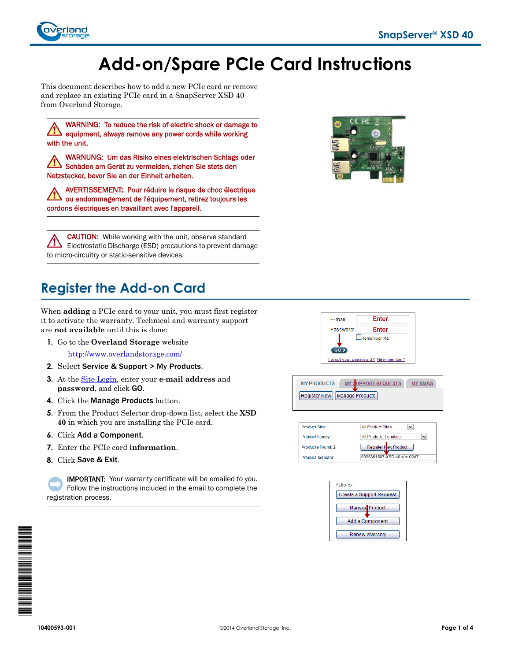

# **Add-on/Spare PCIe Card Instructions**

This document describes how to add a new PCIe card or remove and replace an existing PCIe card in a SnapServer XSD 40 from Overland Storage.

WARNING: To reduce the risk of electric shock or damage to equipment, always remove any power cords while working with the unit.

WARNUNG: Um das Risiko eines elektrischen Schlags oder Schäden am Gerät zu vermeiden, ziehen Sie stets den Netzstecker, bevor Sie an der Einheit arbeiten.

AVERTISSEMENT: Pour réduire le risque de choc électrique ou endommagement de l'équipement, retirez toujours les cordons électriques en travaillant avec l'appareil.

CAUTION: While working with the unit, observe standard /!` Electrostatic Discharge (ESD) precautions to prevent damage to micro-circuitry or static-sensitive devices.

## **Register the Add-on Card**

When **adding** a PCIe card to your unit, you must first register it to activate the warranty. Technical and warranty support are **not available** until this is done:

- **1.** Go to the **Overland Storage** website <http://www.overlandstorage.com/>
- **2.** Select Service & Support > My Products.
- **3.** At the [Site Login,](http://support.overlandstorage.com/touchpoint/logIn/login.aspx?ReturnUrl=%2ftouchpoint%2fproducts%2fregisterProduct.aspx) enter your **e-mail address** and **password**, and click GO.
- **4.** Click the Manage Products button.
- **5.** From the Product Selector drop-down list, select the **XSD 40** in which you are installing the PCIe card.
- **6.** Click Add a Component.
- **7.** Enter the PCIe card **information**.
- **8.** Click Save & Exit.

IMPORTANT: Your warranty certificate will be emailed to you. Follow the instructions included in the email to complete the registration process.





**MY PRODUCTS** MY : UPPORT REQUESTS MY RMAS Register New | Manage Products





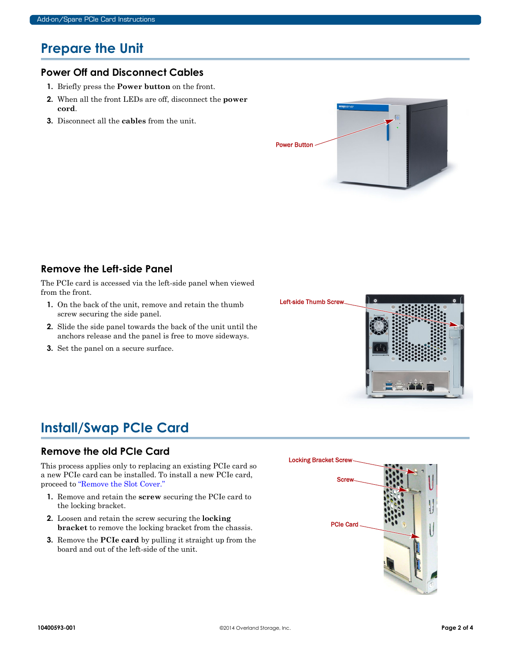### **Prepare the Unit**

#### **Power Off and Disconnect Cables**

- **1.** Briefly press the **Power button** on the front.
- **2.** When all the front LEDs are off, disconnect the **power cord**.
- **3.** Disconnect all the **cables** from the unit.



#### **Remove the Left-side Panel**

The PCIe card is accessed via the left-side panel when viewed from the front.

- **1.** On the back of the unit, remove and retain the thumb screw securing the side panel.
- **2.** Slide the side panel towards the back of the unit until the anchors release and the panel is free to move sideways.
- **3.** Set the panel on a secure surface.



### **Install/Swap PCIe Card**

#### **Remove the old PCIe Card**

This process applies only to replacing an existing PCIe card so a new PCIe card can be installed. To install a new PCIe card, proceed to ["Remove the Slot Cover."](#page-2-0)

- **1.** Remove and retain the **screw** securing the PCIe card to the locking bracket.
- **2.** Loosen and retain the screw securing the **locking bracket** to remove the locking bracket from the chassis.
- **3.** Remove the **PCIe card** by pulling it straight up from the board and out of the left-side of the unit.

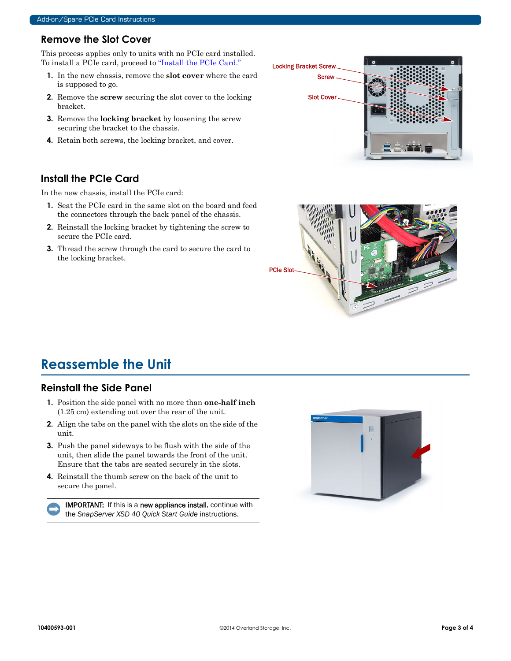#### <span id="page-2-0"></span>**Remove the Slot Cover**

This process applies only to units with no PCIe card installed. To install a PCIe card, proceed to ["Install the PCIe Card."](#page-2-1)

- **1.** In the new chassis, remove the **slot cover** where the card is supposed to go.
- **2.** Remove the **screw** securing the slot cover to the locking bracket.
- **3.** Remove the **locking bracket** by loosening the screw securing the bracket to the chassis.
- **4.** Retain both screws, the locking bracket, and cover.

#### <span id="page-2-1"></span>**Install the PCIe Card**

In the new chassis, install the PCIe card:

- **1.** Seat the PCIe card in the same slot on the board and feed the connectors through the back panel of the chassis.
- **2.** Reinstall the locking bracket by tightening the screw to secure the PCIe card.
- **3.** Thread the screw through the card to secure the card to the locking bracket.





### **Reassemble the Unit**

#### **Reinstall the Side Panel**

- **1.** Position the side panel with no more than **one-half inch** (1.25 cm) extending out over the rear of the unit.
- **2.** Align the tabs on the panel with the slots on the side of the unit.
- **3.** Push the panel sideways to be flush with the side of the unit, then slide the panel towards the front of the unit. Ensure that the tabs are seated securely in the slots.
- **4.** Reinstall the thumb screw on the back of the unit to secure the panel.

IMPORTANT: If this is a new appliance install, continue with the *SnapServer XSD 40 Quick Start Guide* instructions.